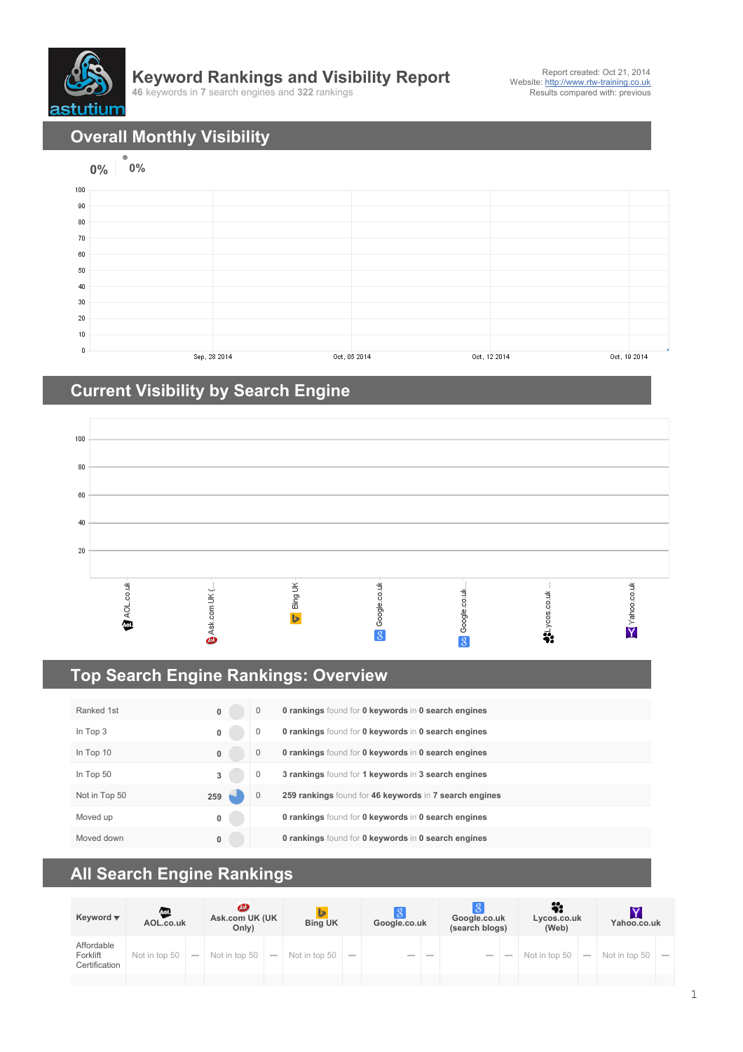

## **Keyword Rankings and Visibility Report**

**46** keywords in **7** search engines and **322** rankings

**Overall Monthly Visibility**



## **Current Visibility by Search Engine**



## **Top Search Engine Rankings: Overview**

| Ranked 1st    | $\bf{0}$ | 0            | <b>0 rankings</b> found for <b>0 keywords in 0 search engines</b> |
|---------------|----------|--------------|-------------------------------------------------------------------|
| In Top 3      | 0        | 0            | <b>0 rankings</b> found for <b>0 keywords in 0 search engines</b> |
| In Top 10     | $\bf{0}$ | 0            | <b>0 rankings</b> found for <b>0 keywords in 0 search engines</b> |
| In Top 50     | 3        | 0            | 3 rankings found for 1 keywords in 3 search engines               |
| Not in Top 50 | 259      | $\mathbf{0}$ | 259 rankings found for 46 keywords in 7 search engines            |
| Moved up      | 0        |              | <b>0 rankings</b> found for <b>0 keywords in 0 search engines</b> |
| Moved down    | 0        |              | <b>0 rankings</b> found for <b>0 keywords in 0 search engines</b> |

## **All Search Engine Rankings**

| Keyword $\overline{\mathbf{v}}$         | Aol<br>AOL.co.uk |                          | മ<br>Ask.com UK (UK<br>Only) |        | <b>Bing UK</b> |        | Google.co.uk             |  | -8<br>Google.co.uk<br>(search blogs) |        | Lycos.co.uk<br>(Web) |                          | Yahoo.co.uk   |        |
|-----------------------------------------|------------------|--------------------------|------------------------------|--------|----------------|--------|--------------------------|--|--------------------------------------|--------|----------------------|--------------------------|---------------|--------|
| Affordable<br>Forklift<br>Certification | Not in top 50    | $\overline{\phantom{a}}$ | Not in top 50                | $\sim$ | Not in top 50  | $\sim$ | $\overline{\phantom{a}}$ |  | $\sim$                               | $\sim$ | Not in top 50        | $\overline{\phantom{a}}$ | Not in top 50 | $\sim$ |
|                                         |                  |                          |                              |        |                |        |                          |  |                                      |        |                      |                          |               |        |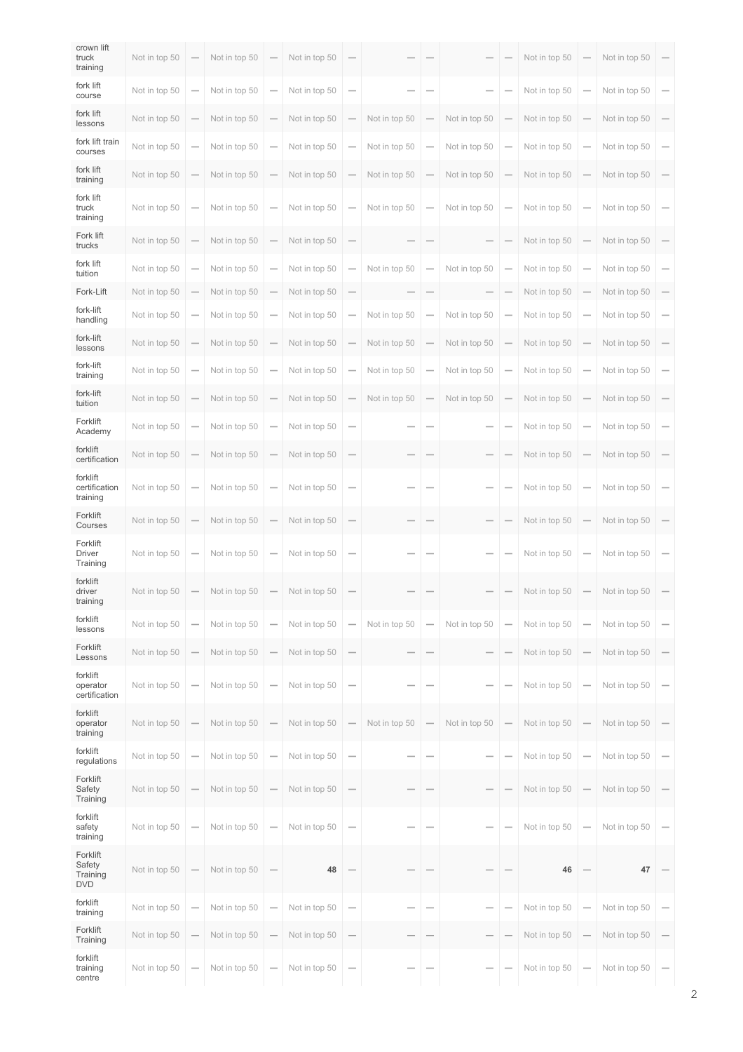| crown lift<br>truck<br>training              | Not in top 50 |                          | Not in top 50 |                          | Not in top 50 | $\overline{\phantom{a}}$              |                          |                          |               |                          | Not in top 50 |                                 | Not in top 50 |                          |
|----------------------------------------------|---------------|--------------------------|---------------|--------------------------|---------------|---------------------------------------|--------------------------|--------------------------|---------------|--------------------------|---------------|---------------------------------|---------------|--------------------------|
| fork lift<br>course                          | Not in top 50 | $\sim$                   | Not in top 50 | -                        | Not in top 50 | $\overline{\phantom{0}}$              |                          |                          |               | -                        | Not in top 50 | $\overline{\phantom{0}}$        | Not in top 50 | $\overline{\phantom{0}}$ |
| fork lift<br>lessons                         | Not in top 50 |                          | Not in top 50 | -                        | Not in top 50 | -                                     | Not in top 50            |                          | Not in top 50 | -                        | Not in top 50 | $\overline{\phantom{0}}$        | Not in top 50 |                          |
| fork lift train<br>courses                   | Not in top 50 | $\overline{\phantom{a}}$ | Not in top 50 | -                        | Not in top 50 | -                                     | Not in top 50            | -                        | Not in top 50 | $\overline{\phantom{a}}$ | Not in top 50 | $\hspace{0.1mm}-\hspace{0.1mm}$ | Not in top 50 | $\overline{\phantom{a}}$ |
| fork lift<br>training                        | Not in top 50 |                          | Not in top 50 | -                        | Not in top 50 |                                       | Not in top 50            | -                        | Not in top 50 | $\overline{\phantom{a}}$ | Not in top 50 | $\hspace{0.1mm}-\hspace{0.1mm}$ | Not in top 50 |                          |
| fork lift<br>truck<br>training               | Not in top 50 |                          | Not in top 50 | -                        | Not in top 50 | $\overline{\phantom{0}}$              | Not in top 50            | $\overline{\phantom{a}}$ | Not in top 50 | $\overline{\phantom{0}}$ | Not in top 50 | $\overline{\phantom{0}}$        | Not in top 50 | $\overline{\phantom{a}}$ |
| Fork lift<br>trucks                          | Not in top 50 |                          | Not in top 50 | -                        | Not in top 50 |                                       |                          |                          |               | -                        | Not in top 50 | $\overline{\phantom{0}}$        | Not in top 50 |                          |
| fork lift<br>tuition                         | Not in top 50 | -                        | Not in top 50 | -                        | Not in top 50 | -                                     | Not in top 50            | ÷                        | Not in top 50 | -                        | Not in top 50 | $\overline{\phantom{0}}$        | Not in top 50 | $\overline{\phantom{a}}$ |
| Fork-Lift                                    | Not in top 50 |                          | Not in top 50 | -                        | Not in top 50 |                                       |                          |                          |               | $\overline{\phantom{a}}$ | Not in top 50 | $\qquad \qquad$                 | Not in top 50 |                          |
| fork-lift<br>handling                        | Not in top 50 | $\overline{\phantom{a}}$ | Not in top 50 | -                        | Not in top 50 | $\overline{\phantom{a}}$              | Not in top 50            |                          | Not in top 50 | $\overline{\phantom{a}}$ | Not in top 50 | $\overline{\phantom{0}}$        | Not in top 50 | $\overline{\phantom{a}}$ |
| fork-lift<br>lessons                         | Not in top 50 |                          | Not in top 50 | -                        | Not in top 50 | $\overline{\phantom{a}}$              | Not in top 50            | $\overline{\phantom{a}}$ | Not in top 50 | $\overline{\phantom{a}}$ | Not in top 50 | $\overline{\phantom{0}}$        | Not in top 50 | $\overline{\phantom{a}}$ |
| fork-lift<br>training                        | Not in top 50 | $\overline{\phantom{a}}$ | Not in top 50 | -                        | Not in top 50 | $\sim$                                | Not in top 50            | $\overline{\phantom{a}}$ | Not in top 50 | $\overline{\phantom{0}}$ | Not in top 50 | $\hspace{0.1mm}-\hspace{0.1mm}$ | Not in top 50 | $\sim$                   |
| fork-lift<br>tuition                         | Not in top 50 | $\sim$                   | Not in top 50 | -                        | Not in top 50 |                                       | Not in top 50            | $\overline{\phantom{a}}$ | Not in top 50 | $\overline{\phantom{0}}$ | Not in top 50 | $\hspace{0.1mm}-\hspace{0.1mm}$ | Not in top 50 |                          |
| Forklift<br>Academy                          | Not in top 50 | $\overline{\phantom{a}}$ | Not in top 50 | -                        | Not in top 50 | $\overline{\phantom{0}}$              |                          |                          |               | $\overline{\phantom{a}}$ | Not in top 50 | $\hspace{0.1mm}-\hspace{0.1mm}$ | Not in top 50 | $\overline{\phantom{0}}$ |
| forklift<br>certification                    | Not in top 50 |                          | Not in top 50 | -                        | Not in top 50 |                                       |                          |                          |               | $\overline{\phantom{a}}$ | Not in top 50 | $\overline{\phantom{0}}$        | Not in top 50 |                          |
| forklift<br>certification<br>training        | Not in top 50 |                          | Not in top 50 | -                        | Not in top 50 | $\overline{\phantom{0}}$              | -                        |                          |               | $\overline{\phantom{a}}$ | Not in top 50 | $\hspace{0.1mm}-\hspace{0.1mm}$ | Not in top 50 | $\overline{\phantom{a}}$ |
| Forklift<br>Courses                          | Not in top 50 |                          | Not in top 50 | -                        | Not in top 50 | $\sim$                                | $\overline{\phantom{a}}$ |                          |               | $\overline{\phantom{a}}$ | Not in top 50 | $\hspace{0.1mm}-\hspace{0.1mm}$ | Not in top 50 |                          |
| Forklift<br><b>Driver</b><br>Training        | Not in top 50 |                          | Not in top 50 | -                        | Not in top 50 | -                                     |                          |                          |               | $\overline{\phantom{a}}$ | Not in top 50 | -                               | Not in top 50 | $\qquad \qquad$          |
| forklift<br>driver<br>training               | Not in top 50 |                          | Not in top 50 | -                        | Not in top 50 |                                       |                          |                          |               |                          | Not in top 50 |                                 | Not in top 50 |                          |
| forklift<br>lessons                          | Not in top 50 |                          | Not in top 50 | -                        | Not in top 50 | -                                     | Not in top 50            | $\sim$                   | Not in top 50 | $\overline{\phantom{0}}$ | Not in top 50 | $\overline{\phantom{0}}$        | Not in top 50 | $\overline{\phantom{0}}$ |
| Forklift<br>Lessons                          | Not in top 50 | $\sim$                   | Not in top 50 | $\overline{\phantom{a}}$ | Not in top 50 | -                                     |                          |                          |               | -                        | Not in top 50 | $\overline{\phantom{0}}$        | Not in top 50 |                          |
| forklift<br>operator<br>certification        | Not in top 50 | $\overline{\phantom{a}}$ | Not in top 50 | $\overline{\phantom{0}}$ | Not in top 50 | $\overline{\phantom{a}}$              |                          |                          |               | $\overline{\phantom{a}}$ | Not in top 50 | $\overline{\phantom{0}}$        | Not in top 50 | $\overline{\phantom{0}}$ |
| forklift<br>operator<br>training             | Not in top 50 | $\overline{\phantom{a}}$ | Not in top 50 | -                        | Not in top 50 | $\hspace{0.1mm}-\hspace{0.1mm}$       | Not in top 50            |                          | Not in top 50 | $\overline{\phantom{0}}$ | Not in top 50 | $\hspace{0.1mm}-\hspace{0.1mm}$ | Not in top 50 |                          |
| forklift<br>regulations                      | Not in top 50 |                          | Not in top 50 | -                        | Not in top 50 | -                                     |                          |                          |               | $\overline{\phantom{a}}$ | Not in top 50 | $\overline{\phantom{0}}$        | Not in top 50 | $\overline{\phantom{a}}$ |
| Forklift<br>Safety<br>Training               | Not in top 50 |                          | Not in top 50 | -                        | Not in top 50 | $\sim$                                | $\overline{\phantom{a}}$ | $\frac{1}{2}$            |               | $\sim$                   | Not in top 50 |                                 | Not in top 50 | $\overline{\phantom{a}}$ |
| forklift<br>safety<br>training               | Not in top 50 |                          | Not in top 50 | -                        | Not in top 50 | $\overline{\phantom{0}}$              | -                        |                          |               | -                        | Not in top 50 | $\overline{\phantom{0}}$        | Not in top 50 |                          |
| Forklift<br>Safety<br>Training<br><b>DVD</b> | Not in top 50 |                          | Not in top 50 | -                        | 48            |                                       |                          |                          |               |                          | 46            |                                 | 47            |                          |
| forklift<br>training                         | Not in top 50 | $\overline{\phantom{a}}$ | Not in top 50 | -                        | Not in top 50 | $\overline{\phantom{0}}$              |                          |                          |               | -                        | Not in top 50 | $\overline{\phantom{0}}$        | Not in top 50 |                          |
| Forklift<br>Training                         | Not in top 50 |                          | Not in top 50 | -                        | Not in top 50 | $\overline{\phantom{0}}$              |                          |                          |               | $\overline{\phantom{a}}$ | Not in top 50 | $\overline{\phantom{0}}$        | Not in top 50 |                          |
| forklift<br>training<br>centre               | Not in top 50 | $\overline{\phantom{a}}$ | Not in top 50 | -                        | Not in top 50 | $\hspace{1.0cm} \rule{1.5cm}{0.15cm}$ |                          |                          |               | $\overline{\phantom{a}}$ | Not in top 50 | $\overline{\phantom{0}}$        | Not in top 50 | $\overline{\phantom{0}}$ |